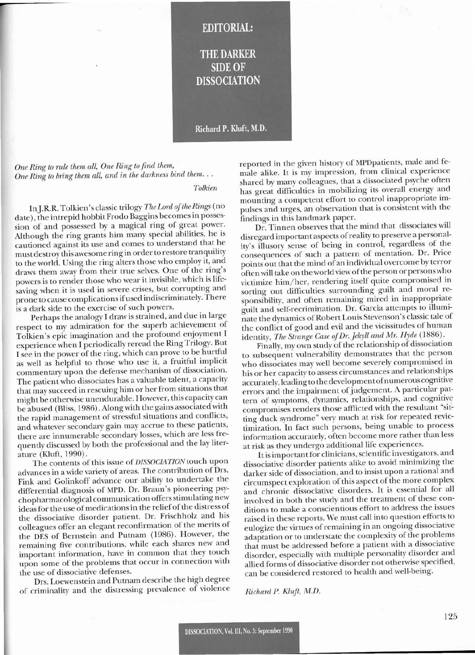

*One Ring to rule them all, One Ring to find them, . One Ring to bring them all, and in the darkness bind them.* ..

**r**

*Tolkien*

In J.R.R. Tolkien's classic trilogy *The Lord of the Rings* (no date), the intrepid hobbit Frodo Baggins becomes in possession of and possessed by a magical ring of great power. Although the ring grants him many special abilities, he is cautioned against its use and comes to understand that he must destroy this awesome ring in order to restore tranquility to the world. Using the ring alters those who employ it, and draws them away from their true selves. One of the ring's powers is to render those who wear it invisible, which is lifesaving when it is used in severe crises, but corrupting and prone to cause complications ifused indiscriminately. There is a dark side to the exercise of such powers.

Perhaps the analogy I draw is strained, and due in large respect to my admiration for the superb achievement of Tolkien's epic imagination and the profound enjoyment I experience when I periodically reread the Ring Trilogy. But I see in the power of the ring, which can prove to be hurtful as well as helpful to those who use it, a fruitful implicit commentary upon the defense mechanism of dissociation. The patient who dissociates has a valuable talent, a capacity that may succeed in rescuing him or her from situations that might be otherwise unendurable. However, this capacity can be abused (Bliss, 1986). Along with the gains associated with the rapid management of stressful situations and conflicts, and whatever secondary gain may accrue to these patients, there are innumerable secondary losses, which are less frequently discussed by both the professional and the lay literature (KIuft, 1990).

The contents of this issue of *DISSOCIATION* touch upon advances in a wide variety of areas. The contribution of Drs. Fink and Golinkoff advance our ability to undertake the differential diagnosis of MPD. Dr. Braun's pioneering psychopharmacological communication offers stimulating new ideas for the use of medications in the relief of the distress of the dissociative disorder patient. Dr. Frischholz and his colleagues offer an elegant reconfirmation of the merits of the DES of Bernstein and Putnam (1986). However, the remaining five contributions, while each shares new and important information, have in common that they touch upon some of the problems that occur in connection with the use of dissociative defenses.

Drs. Loewenstein and Putnam describe the high degree of criminality and the distressing prevalence of violence reported in the given history of MPDpatients, male and female alike. It is my impression, from clinical experience shared by many colleagues, that a dissociated psyche often shared by many concagues, that a dissociated psyche often<br>has great difficulties in mobilizing its overall energy and<br>mounting a competent effort to control inappropriate im-<br>pulses and urges, an observation that is consis mounting a competent effort to control inappropriate impulses and urges, an observation that is consistent with the

Dr. Tinnen observes that the mind that dissociates will disregard important aspects ofreality to preserve a personality's illusory sense of being in control, regardless of the consequences of such a pattern of mentation. Dr. Price points out that the mind of an individual overcome by terror often will take on the world view ofthe person or personswho victimize him/her, rendering itself quite compromised in sorting out difficulties surrounding guilt and moral responsibility, and often remaining mired in inappropriate guilt and self-recrimination. Dr. Garcia attempts to illuminate the dynamics of Robert Louis Stevenson's classic tale of the conflict of good and evil and the vicissitudes of human identity, *The Strange Case of Dr. Jekyll and Mr. Hyde* (1886).

Finally, my own study of the relationship of dissociation to subsequent vulnerability demonstrates that the person who dissociates may well become severely compromised in his or her capacity to assess circumstances and relationships accurately, leading to the development of numerous cognitive errors and the impairment of judgement. A particular pattern of symptoms, dynamics, relationships, and cognitive compromises renders those afflicted with the resultant "sitting duck syndrome" very much at risk for repeated revictimization. In fact such persons, being unable to process information accurately, often become more rather than less at risk as they undergo additional life experiences.

It is important for clinicians, scientific investigators, and dissociative disorder patients alike to avoid minimizing the darker side of dissociation, and to insist upon a rational and circumspect exploration of this aspect of the more complex and chronic dissociative disorders. It is essential for all involved in both the study and the treatment of these conditions to make a conscientious effort to address the issues raised in these reports. We must call into question efforts to eulogize the virtues of remaining in an ongoing dissociative adaptation or to understate the complexity of the problems that must be addressed before a patient with a dissociative disorder, especially with multiple personality disorder and allied forms of dissociative disorder not otherwise specified, can be considered restored to health and well-being.

*Richard P. Kluft, M.D.*

125